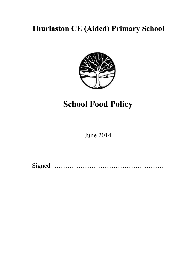# **Thurlaston CE (Aided) Primary School**



# **School Food Policy**

June 2014

Signed ……………………………………………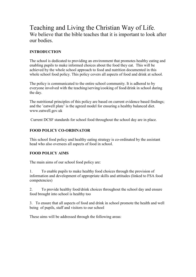### Teaching and Living the Christian Way of Life. We believe that the bible teaches that it is important to look after our bodies.

#### **INTRODUCTION**

The school is dedicated to providing an environment that promotes healthy eating and enabling pupils to make informed choices about the food they eat. This will be achieved by the whole school approach to food and nutrition documented in this whole school food policy. This policy covers all aspects of food and drink at school.

The policy is communicated to the entire school community. It is adhered to by everyone involved with the teaching/serving/cooking of food/drink in school during the day.

The nutritional principles of this policy are based on current evidence based findings; and the 'eatwell plate' is the agreed model for ensuring a healthy balanced diet. www.eatwell.gov.uk

Current DCSF standards for school food throughout the school day are in place.

#### **FOOD POLICY CO-ORDINATOR**

This school food policy and healthy eating strategy is co-ordinated by the assistant head who also oversees all aspects of food in school.

#### **FOOD POLICY AIMS**

The main aims of our school food policy are:

1. To enable pupils to make healthy food choices through the provision of information and development of appropriate skills and attitudes (linked to FSA food competencies)

2. To provide healthy food/drink choices throughout the school day and ensure food brought into school is healthy too

3. To ensure that all aspects of food and drink in school promote the health and well being of pupils, staff and visitors to our school

These aims will be addressed through the following areas: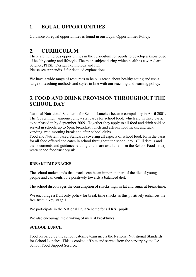### **1. EQUAL OPPORTUNITIES**

Guidance on equal opportunities is found in our Equal Opportunities Policy.

### **2. CURRICULUM**

There are numerous opportunities in the curriculum for pupils to develop a knowledge of healthy eating and lifestyle. The main subject during which health is covered are Science, PHSE, Design Technology and PE.

Please see Appendix 3 for detailed explanations.

We have a wide range of resources to help us teach about healthy eating and use a range of teaching methods and styles in line with our teaching and learning policy.

### **3. FOOD AND DRINK PROVISION THROUGHOUT THE SCHOOL DAY**

National Nutritional Standards for School Lunches became compulsory in April 2001. The Government announced new standards for school food, which are in three parts, to be phased in by September 2009. Together they apply to all food and drink sold or served in schools up to 6pm: breakfast, lunch and after-school meals; and tuck, vending, mid-morning break and after-school clubs.

Food and Nutrient based Standards covering all aspects of school food, form the basis for all food offered and eaten in school throughout the school day. (Full details and the documents and guidance relating to this are available form the School Food Trust) www.schoolfoodtrust.org.uk

#### **BREAKTIME SNACKS**

The school understands that snacks can be an important part of the diet of young people and can contribute positively towards a balanced diet.

The school discourages the consumption of snacks high in fat and sugar at break-time.

We encourage a fruit only policy for break time snacks as this positively enhances the free fruit in key stage 1.

We participate in the National Fruit Scheme for all KS1 pupils.

We also encourage the drinking of milk at breaktimes.

#### **SCHOOL LUNCH**

Food prepared by the school catering team meets the National Nutritional Standards for School Lunches. This is cooked off site and served from the servery by the LA School Food Support Service.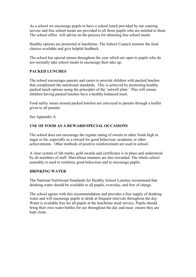As a school we encourage pupils to have a school lunch provided by our catering service and free school meals are provided to all those pupils who are entitled to them. The school office will advise on the process for obtaining free school meals

Healthy options are promoted at lunchtime. The School Council monitor the food choices available and give helpful feedback.

The school has special menus throughout the year which are open to pupils who do not normally take school meals to encourage their take up.

#### **PACKED LUNCHES**

The school encourages parents and carers to provide children with packed lunches that compliment the nutritional standards. This is achieved by promoting healthy packed lunch options using the principles of the 'eatwell plate'. This will ensure children having packed lunches have a healthy balanced meal.

Food safety issues around packed lunches are conveyed to parents through a leaflet given to all parents.

See Appendix A

#### **USE OF FOOD AS A REWARD/SPECIAL OCCASIONS**

The school does not encourage the regular eating of sweets or other foods high in sugar or fat, especially as a reward for good behaviour, academic or other achievements. Other methods of positive reinforcement are used in school.

A clear system of fab marks, gold awards and certificates is in place and understood by all members of staff. Marvellous manners are also rewarded. The whole school assembly is used to reinforce good behaviour and to encourage pupils.

#### **DRINKING WATER**

The National Nutritional Standards for Healthy School Lunches recommend that drinking water should be available to all pupils, everyday, and free of charge.

The school agrees with this recommendation and provides a free supply of drinking water and will encourage pupils to drink at frequent intervals throughout the day. Water is available free for all pupils at the lunchtime meal service. Pupils should bring their own water bottles for use throughout the day and must ensure they are kept clean.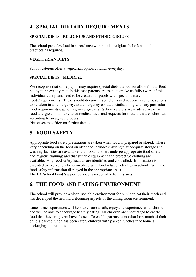### **4. SPECIAL DIETARY REQUIREMENTS**

#### **SPECIAL DIETS - RELIGIOUS AND ETHNIC GROUPS**

The school provides food in accordance with pupils' religious beliefs and cultural practices as required.

#### **VEGETARIAN DIETS**

School caterers offer a vegetarian option at lunch everyday.

#### **SPECIAL DIETS - MEDICAL**

We recognise that some pupils may require special diets that do not allow for our food policy to be exactly met. In this case parents are asked to make us fully aware of this. Individual care plans need to be created for pupils with special dietary needs/requirements. These should document symptoms and adverse reactions, actions to be taken in an emergency, and emergency contact details, along with any particular food requirements e.g. for high-energy diets. School caterers are made aware of any food allergies/food intolerance/medical diets and requests for these diets are submitted according to an agreed process.

Please see the office for further details.

### **5. FOOD SAFETY**

Appropriate food safety precautions are taken when food is prepared or stored. These vary depending on the food on offer and include: ensuring that adequate storage and washing facilities are available; that food handlers undergo appropriate food safety and hygiene training; and that suitable equipment and protective clothing are available. Any food safety hazards are identified and controlled. Information is cascaded to everyone who is involved with food related activities in school. We have food safety information displayed in the appropriate areas. The LA School Food Support Service is responsible for this area.

### **6. THE FOOD AND EATING ENVIRONMENT**

The school will provide a clean, sociable environment for pupils to eat their lunch and has developed the healthy/welcoming aspects of the dining room environment.

Lunch time supervisors will help to ensure a safe, enjoyable experience at lunchtime and will be able to encourage healthy eating. All children are encouraged to eat the food that they are given/ have chosen. To enable parents to monitor how much of their child's packed lunch has been eaten, children with packed lunches take home all packaging and remains.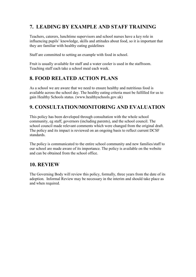### **7. LEADING BY EXAMPLE AND STAFF TRAINING**

Teachers, caterers, lunchtime supervisors and school nurses have a key role in influencing pupils' knowledge, skills and attitudes about food, so it is important that they are familiar with healthy eating guidelines

Staff are committed to setting an example with food in school.

Fruit is usually available for staff and a water cooler is used in the staffroom. Teaching staff each take a school meal each week.

### **8. FOOD RELATED ACTION PLANS**

As a school we are aware that we need to ensure healthy and nutritious food is available across the school day. The healthy eating criteria must be fulfilled for us to gain Healthy Schools status. (www.healthyschools.gov.uk)

### **9. CONSULTATION/MONITORING AND EVALUATION**

This policy has been developed through consultation with the whole school community, eg staff, governors (including parents), and the school council. The school council made relevant comments which were changed from the original draft. The policy and its impact is reviewed on an ongoing basis to reflect current DCSF standards.

The policy is communicated to the entire school community and new families/staff to our school are made aware of its importance. The policy is available on the website and can be obtained from the school office.

### **10. REVIEW**

The Governing Body will review this policy, formally, three years from the date of its adoption. Informal Review may be necessary in the interim and should take place as and when required.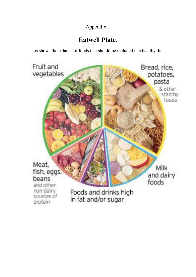### Appendix 1

# **Eatwell Plate.**

This shows the balance of foods that should be included in a healthy diet.